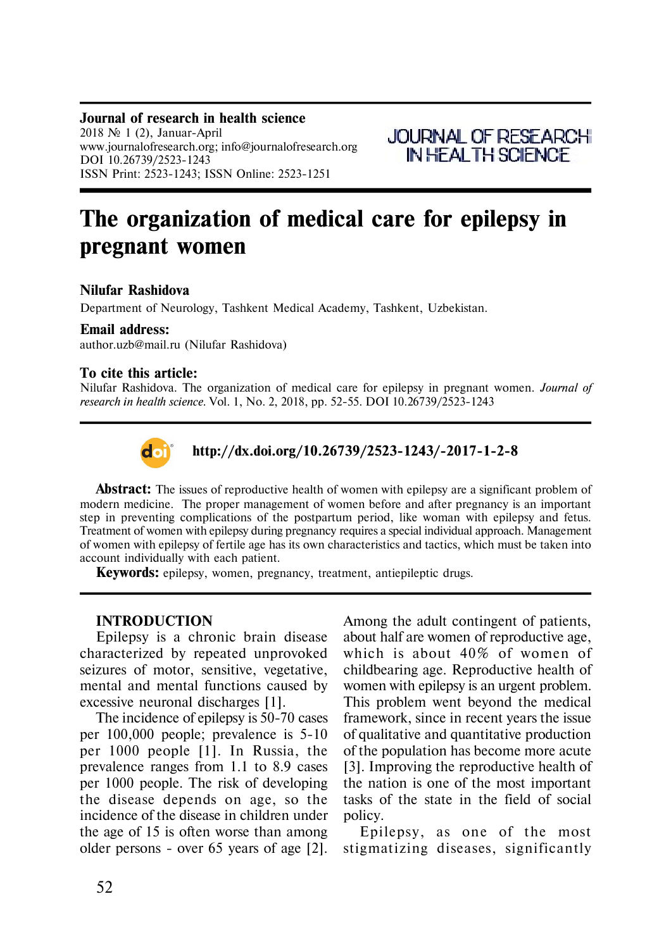#### **Journal of research in health science** 2018  $\mathbb{N}$  1 (2), Januar-April www.journalofresearch.org; info@journalofresearch.org DOI 10.26739/2523-1243 ISSN Print: 2523-1243; ISSN Online: 2523-1251



# **The organization of medical care for epilepsy in pregnant women**

# **Nilufar Rashidova**

Department of Neurology, Tashkent Medical Academy, Tashkent, Uzbekistan.

#### **Email address:**

author.uzb@mail.ru (Nilufar Rashidova)

#### **To cite this article:**

Nilufar Rashidova. The organization of medical care for epilepsy in pregnant women. *Journal of research in health science.* Vol. 1, No. 2, 2018, pp. 52-55. DOI 10.26739/2523-1243



# **http://dx.doi.org/10.26739/2523-1243/-2017-1-2-8**

**Abstract:** The issues of reproductive health of women with epilepsy are a significant problem of modern medicine. The proper management of women before and after pregnancy is an important step in preventing complications of the postpartum period, like woman with epilepsy and fetus. Treatment of women with epilepsy during pregnancy requires a special individual approach. Management of women with epilepsy of fertile age has its own characteristics and tactics, which must be taken into account individually with each patient.

**Keywords:** epilepsy, women, pregnancy, treatment, antiepileptic drugs.

## **INTRODUCTION**

Epilepsy is a chronic brain disease characterized by repeated unprovoked seizures of motor, sensitive, vegetative, mental and mental functions caused by excessive neuronal discharges [1].

The incidence of epilepsy is 50-70 cases per 100,000 people; prevalence is 5-10 per 1000 people [1]. In Russia, the prevalence ranges from 1.1 to 8.9 cases per 1000 people. The risk of developing the disease depends on age, so the incidence of the disease in children under the age of 15 is often worse than among older persons - over 65 years of age [2]. Among the adult contingent of patients, about half are women of reproductive age, which is about 40% of women of childbearing age. Reproductive health of women with epilepsy is an urgent problem. This problem went beyond the medical framework, since in recent years the issue of qualitative and quantitative production of the population has become more acute [3]. Improving the reproductive health of the nation is one of the most important tasks of the state in the field of social policy.

Epilepsy, as one of the most stigmatizing diseases, significantly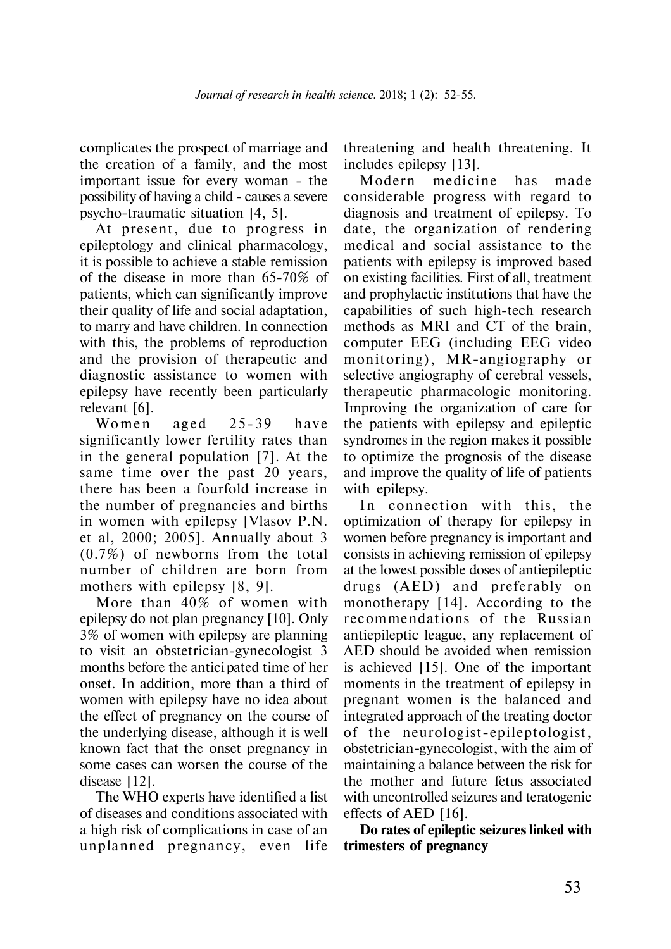complicates the prospect of marriage and the creation of a family, and the most important issue for every woman - the possibility of having a child - causes a severe psycho-traumatic situation [4, 5].

At present, due to progress in epileptology and clinical pharmacology, it is possible to achieve a stable remission of the disease in more than 65-70% of patients, which can significantly improve their quality of life and social adaptation, to marry and have children. In connection with this, the problems of reproduction and the provision of therapeutic and diagnostic assistance to women with epilepsy have recently been particularly relevant [6].

Women aged 25-39 have significantly lower fertility rates than in the general population [7]. At the same time over the past 20 years, there has been a fourfold increase in the number of pregnancies and births in women with epilepsy [Vlasov P.N. et al, 2000; 2005]. Annually about 3 (0.7%) of newborns from the total number of children are born from mothers with epilepsy [8, 9].

More than 40% of women with epilepsy do not plan pregnancy [10]. Only 3% of women with epilepsy are planning to visit an obstetrician-gynecologist 3 months before the antici pated time of her onset. In addition, more than a third of women with epilepsy have no idea about the effect of pregnancy on the course of the underlying disease, although it is well known fact that the onset pregnancy in some cases can worsen the course of the disease [12].

The WHO experts have identified a list of diseases and conditions associated with a high risk of complications in case of an unplanned pregnancy, even life threatening and health threatening. It includes epilepsy [13].

Modern medicine has made considerable progress with regard to diagnosis and treatment of epilepsy. To date, the organization of rendering medical and social assistance to the patients with epilepsy is improved based on existing facilities. First of all, treatment and prophylactic institutions that have the capabilities of such high-tech research methods as MRI and CT of the brain, computer EEG (including EEG video monitoring), MR-angiography or selective angiography of cerebral vessels, therapeutic pharmacologic monitoring. Improving the organization of care for the patients with epilepsy and epileptic syndromes in the region makes it possible to optimize the prognosis of the disease and improve the quality of life of patients with epilepsy.

In connection with this, the optimization of therapy for epilepsy in women before pregnancy is important and consists in achieving remission of epilepsy at the lowest possible doses of antiepileptic drugs (AED) and preferably on monotherapy [14]. According to the recommendations of the Russian antiepileptic league, any replacement of AED should be avoided when remission is achieved [15]. One of the important moments in the treatment of epilepsy in pregnant women is the balanced and integrated approach of the treating doctor of the neurologist-epileptologist, obstetrician-gynecologist, with the aim of maintaining a balance between the risk for the mother and future fetus associated with uncontrolled seizures and teratogenic effects of AED [16].

**Do rates of epileptic seizures linked with trimesters of pregnancy**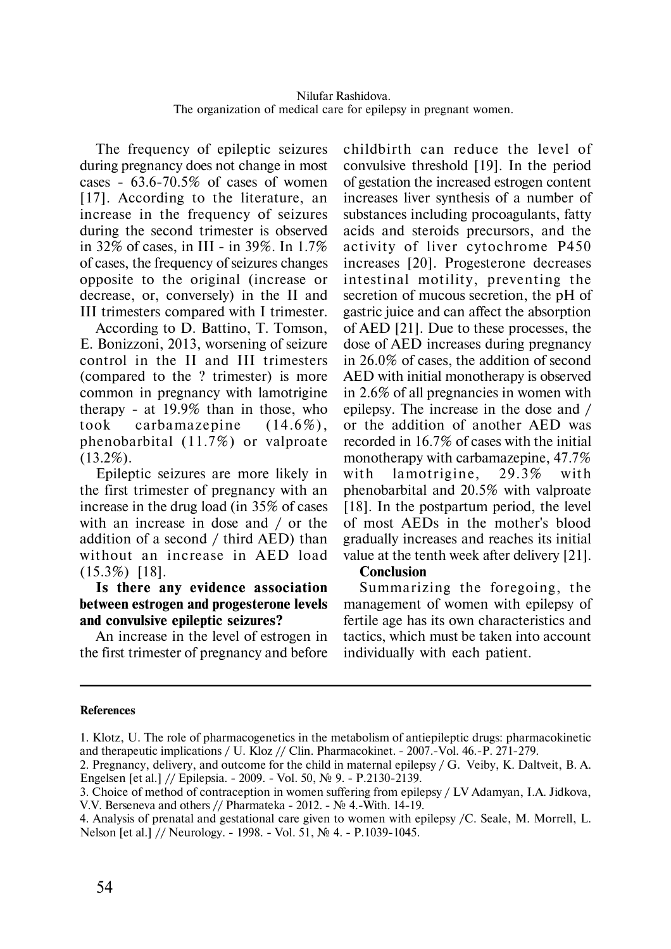The frequency of epileptic seizures during pregnancy does not change in most cases - 63.6-70.5% of cases of women [17]. According to the literature, an increase in the frequency of seizures during the second trimester is observed in 32% of cases, in III - in 39%. In 1.7% of cases, the frequency of seizures changes opposite to the original (increase or decrease, or, conversely) in the II and III trimesters compared with I trimester.

According to D. Battino, T. Tomson, E. Bonizzoni, 2013, worsening of seizure control in the II and III trimesters (compared to the ? trimester) is more common in pregnancy with lamotrigine therapy - at 19.9% than in those, who took carbamazepine  $(14.6\%)$ , phenobarbital (11.7%) or valproate (13.2%).

Epileptic seizures are more likely in the first trimester of pregnancy with an increase in the drug load (in 35% of cases with an increase in dose and / or the addition of a second / third AED) than without an increase in AED load (15.3%) [18].

# **Is there any evidence association between estrogen and progesterone levels and convulsive epileptic seizures?**

An increase in the level of estrogen in the first trimester of pregnancy and before childbirth can reduce the level of convulsive threshold [19]. In the period of gestation the increased estrogen content increases liver synthesis of a number of substances including procoagulants, fatty acids and steroids precursors, and the activity of liver cytochrome P450 increases [20]. Progesterone decreases intestinal motility, preventing the secretion of mucous secretion, the pH of gastric juice and can affect the absorption of AED [21]. Due to these processes, the dose of AED increases during pregnancy in 26.0% of cases, the addition of second AED with initial monotherapy is observed in 2.6% of all pregnancies in women with epilepsy. The increase in the dose and / or the addition of another AED was recorded in 16.7% of cases with the initial monotherapy with carbamazepine, 47.7% with lamotrigine,  $29.3\%$  with phenobarbital and 20.5% with valproate [18]. In the postpartum period, the level of most AEDs in the mother's blood gradually increases and reaches its initial value at the tenth week after delivery [21].

## **Conclusion**

Summarizing the foregoing, the management of women with epilepsy of fertile age has its own characteristics and tactics, which must be taken into account individually with each patient.

#### **References**

<sup>1.</sup> Klotz, U. The role of pharmacogenetics in the metabolism of antiepileptic drugs: pharmacokinetic and therapeutic implications / U. Kloz // Clin. Pharmacokinet. - 2007.-Vol. 46.-P. 271-279.

<sup>2.</sup> Pregnancy, delivery, and outcome for the child in maternal epilepsy / G. Veiby, K. Daltveit, B. A. Engelsen [et al.] // Epilepsia. - 2009. - Vol. 50, № 9. - P.2130-2139.

<sup>3.</sup> Choice of method of contraception in women suffering from epilepsy / LV Adamyan, I.A. Jidkova, V.V. Berseneva and others // Pharmateka - 2012. -  $\mathbb{N}^{\circ}$  4.-With. 14-19.

<sup>4.</sup> Analysis of prenatal and gestational care given to women with epilepsy /C. Seale, M. Morrell, L. Nelson [et al.] // Neurology. - 1998. - Vol. 51, № 4. - P.1039-1045.